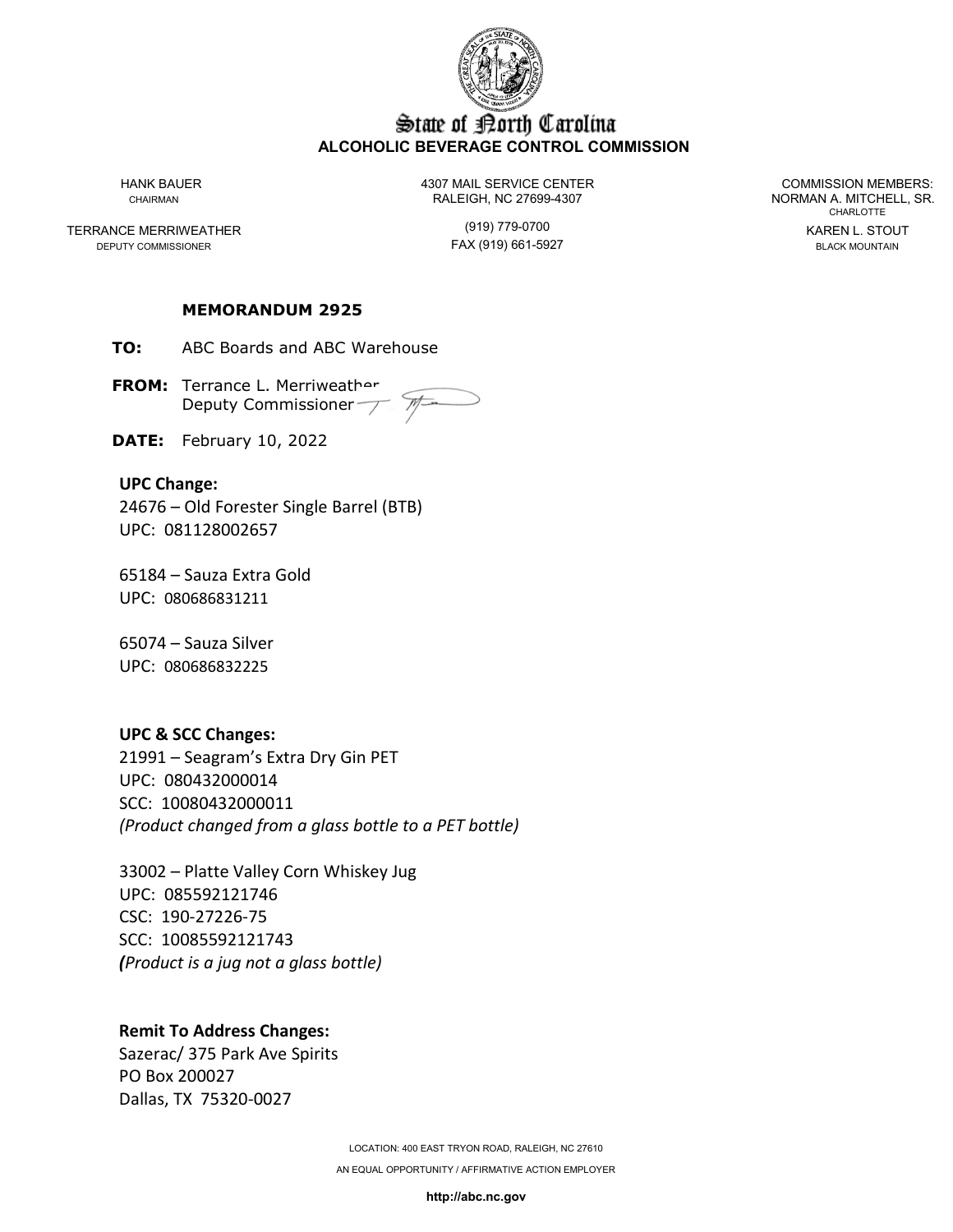

## State of Borth Carolina **ALCOHOLIC BEVERAGE CONTROL COMMISSION**

TERRANCE MERRIWEATHER (919) 779-0700 KAREN L. STOUT

HANK BAUER 4307 MAIL SERVICE CENTER COMMISSION MEMBERS: CHAIRMAN CHAIRMAN RALEIGH, NC 27699-4307 NORMAN A. MITCHELL, SR.

FAX (919) 661-5927

CHARLOTTE

#### **MEMORANDUM 2925**

**TO:** ABC Boards and ABC Warehouse

**FROM:** Terrance L. Merriweather Deputy Commissioner T

**DATE:** February 10, 2022

#### **UPC Change:**

24676 – Old Forester Single Barrel (BTB) UPC: 081128002657

65184 – Sauza Extra Gold UPC: 080686831211

65074 – Sauza Silver UPC: 080686832225

#### **UPC & SCC Changes:**

21991 – Seagram's Extra Dry Gin PET UPC: 080432000014 SCC: 10080432000011 *(Product changed from a glass bottle to a PET bottle)*

33002 – Platte Valley Corn Whiskey Jug UPC: 085592121746 CSC: 190-27226-75 SCC: 10085592121743 *(Product is a jug not a glass bottle)*

### **Remit To Address Changes:**

Sazerac/ 375 Park Ave Spirits PO Box 200027 Dallas, TX 75320-0027

> LOCATION: 400 EAST TRYON ROAD, RALEIGH, NC 27610 AN EQUAL OPPORTUNITY / AFFIRMATIVE ACTION EMPLOYER

> > **http://abc.nc.gov**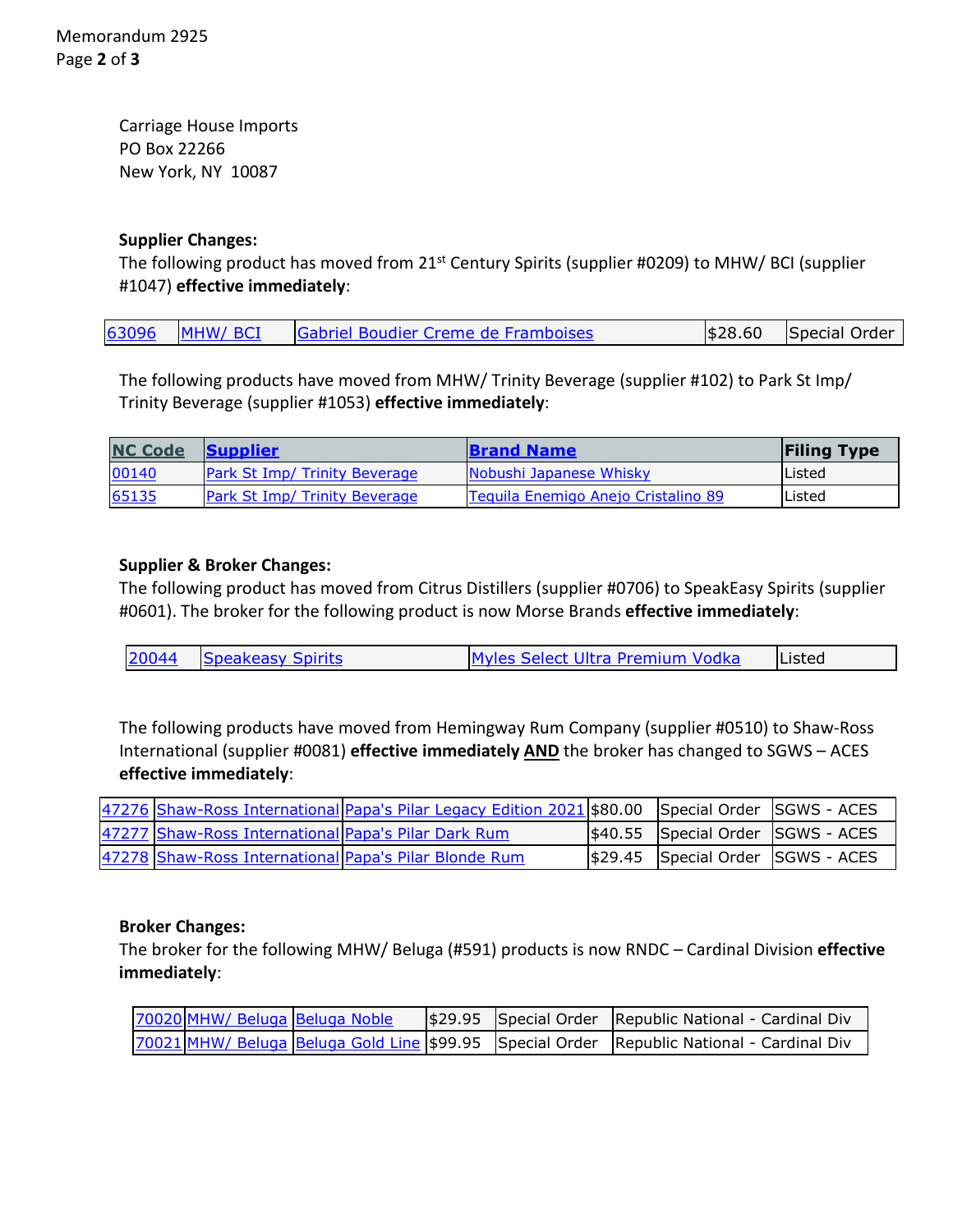Carriage House Imports PO Box 22266 New York, NY 10087

# **Supplier Changes:**

The following product has moved from 21<sup>st</sup> Century Spirits (supplier #0209) to MHW/ BCI (supplier #1047) **effective immediately**:

| 63096 MHW/ BCI<br>$ \$28.60$ Special Order<br><b>Gabriel Boudier Creme de Framboises</b> |
|------------------------------------------------------------------------------------------|
|------------------------------------------------------------------------------------------|

The following products have moved from MHW/ Trinity Beverage (supplier #102) to Park St Imp/ Trinity Beverage (supplier #1053) **effective immediately**:

| <b>NC Code</b> | <b>Supplier</b>                      | <b>Brand Name</b>                   | <b>Filing Type</b> |
|----------------|--------------------------------------|-------------------------------------|--------------------|
| 00140          | <b>Park St Imp/ Trinity Beverage</b> | Nobushi Japanese Whisky             | lListed            |
| 65135          | <b>Park St Imp/ Trinity Beverage</b> | Tequila Enemigo Anejo Cristalino 89 | Listed             |

# **Supplier & Broker Changes:**

The following product has moved from Citrus Distillers (supplier #0706) to SpeakEasy Spirits (supplier #0601). The broker for the following product is now Morse Brands **effective immediately**:

| 20044 | <b>Speakeasy Spirits</b> | Myles Select Ultra Premium Vodka | <b>Listed</b> |
|-------|--------------------------|----------------------------------|---------------|
|-------|--------------------------|----------------------------------|---------------|

The following products have moved from Hemingway Rum Company (supplier #0510) to Shaw-Ross International (supplier #0081) **effective immediately AND** the broker has changed to SGWS – ACES **effective immediately**:

|                                                       | 47276 Shaw-Ross International Papa's Pilar Legacy Edition 2021 \$80.00 Special Order SGWS - ACES |                                   |  |
|-------------------------------------------------------|--------------------------------------------------------------------------------------------------|-----------------------------------|--|
| 47277 Shaw-Ross International Papa's Pilar Dark Rum   |                                                                                                  | \$40.55 Special Order SGWS - ACES |  |
| 47278 Shaw-Ross International Papa's Pilar Blonde Rum |                                                                                                  | \$29.45 Special Order SGWS - ACES |  |

### **Broker Changes:**

The broker for the following MHW/ Beluga (#591) products is now RNDC – Cardinal Division **effective immediately**:

| 70020 MHW/ Beluga Beluga Noble |  | \$29.95 Special Order Republic National - Cardinal Div                                    |
|--------------------------------|--|-------------------------------------------------------------------------------------------|
|                                |  | 70021 MHW/ Beluga Beluga Gold Line \$99.95 Special Order Republic National - Cardinal Div |